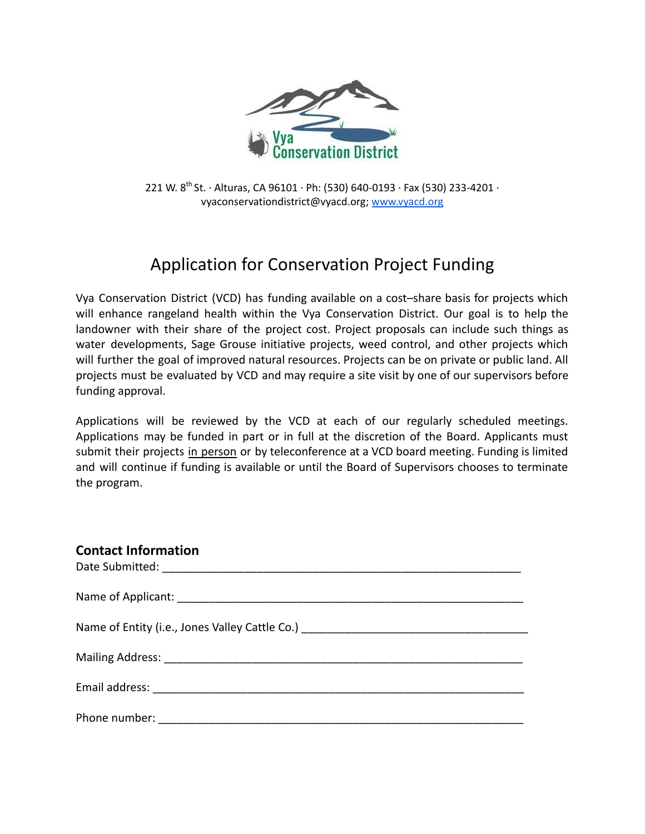

221 W. 8<sup>th</sup> St. ∙ Alturas, CA 96101 ∙ Ph: (530) 640-0193 ∙ Fax (530) 233-4201 ∙ vyaconservationdistrict@vyacd.org; [www.vyacd.org](http://www.vyacd.org)

## Application for Conservation Project Funding

Vya Conservation District (VCD) has funding available on a cost–share basis for projects which will enhance rangeland health within the Vya Conservation District. Our goal is to help the landowner with their share of the project cost. Project proposals can include such things as water developments, Sage Grouse initiative projects, weed control, and other projects which will further the goal of improved natural resources. Projects can be on private or public land. All projects must be evaluated by VCD and may require a site visit by one of our supervisors before funding approval.

Applications will be reviewed by the VCD at each of our regularly scheduled meetings. Applications may be funded in part or in full at the discretion of the Board. Applicants must submit their projects in person or by teleconference at a VCD board meeting. Funding is limited and will continue if funding is available or until the Board of Supervisors chooses to terminate the program.

| <b>Contact Information</b>                                                       |
|----------------------------------------------------------------------------------|
|                                                                                  |
|                                                                                  |
| Name of Entity (i.e., Jones Valley Cattle Co.) _________________________________ |
|                                                                                  |
|                                                                                  |
| Phone number: _________________                                                  |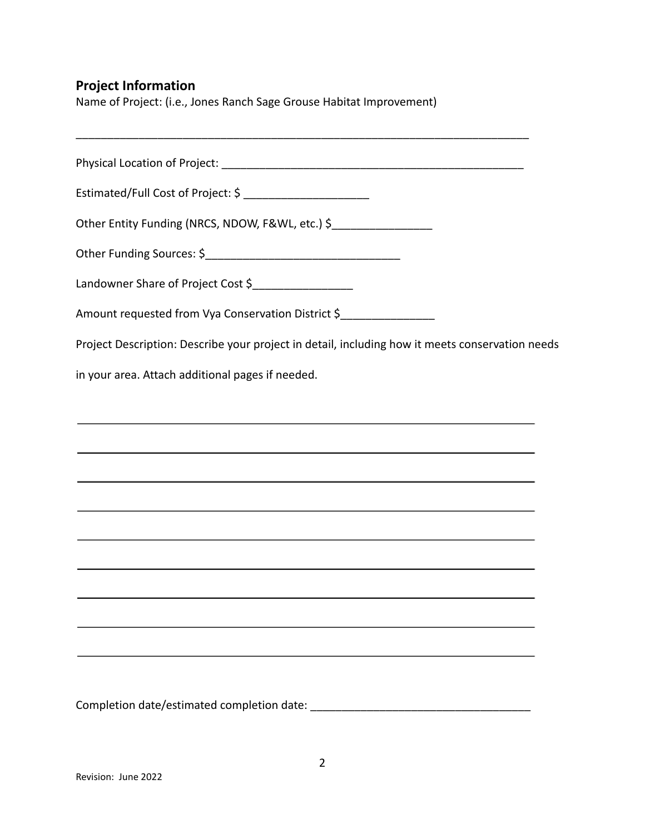## **Project Information**

Name of Project: (i.e., Jones Ranch Sage Grouse Habitat Improvement)

Physical Location of Project: \_\_\_\_\_\_\_\_\_\_\_\_\_\_\_\_\_\_\_\_\_\_\_\_\_\_\_\_\_\_\_\_\_\_\_\_\_\_\_\_\_\_\_\_\_\_\_\_

\_\_\_\_\_\_\_\_\_\_\_\_\_\_\_\_\_\_\_\_\_\_\_\_\_\_\_\_\_\_\_\_\_\_\_\_\_\_\_\_\_\_\_\_\_\_\_\_\_\_\_\_\_\_\_\_\_\_\_\_\_\_\_\_\_\_\_\_\_\_\_\_

Estimated/Full Cost of Project: \$ \_\_\_\_\_\_\_\_\_\_\_\_\_\_\_\_\_\_\_\_

Other Entity Funding (NRCS, NDOW, F&WL, etc.) \$

Other Funding Sources: \$\_\_\_\_\_\_\_\_\_\_\_\_\_\_\_\_\_\_\_\_\_\_\_\_\_\_\_\_\_\_\_

Landowner Share of Project Cost \$\_\_\_\_\_\_\_\_\_\_\_\_\_\_\_\_

Amount requested from Vya Conservation District \$

Project Description: Describe your project in detail, including how it meets conservation needs

in your area. Attach additional pages if needed.

Completion date/estimated completion date: \_\_\_\_\_\_\_\_\_\_\_\_\_\_\_\_\_\_\_\_\_\_\_\_\_\_\_\_\_\_\_\_\_\_\_